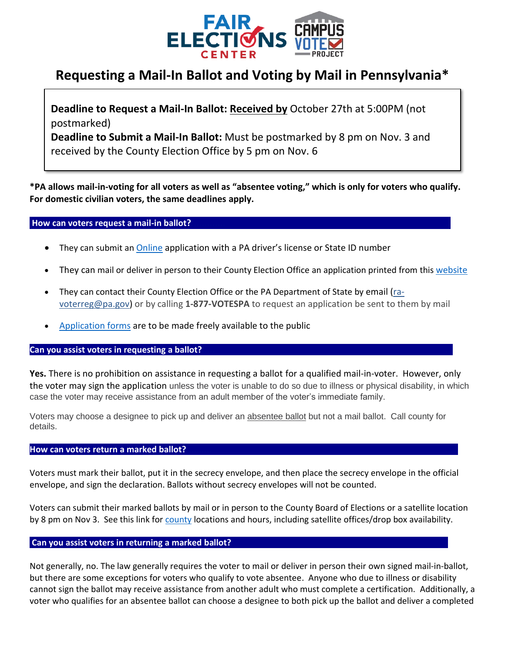

# **Requesting a Mail-In Ballot and Voting by Mail in Pennsylvania\***

**Deadline to Request a Mail-In Ballot: Received by** October 27th at 5:00PM (not postmarked)

**Deadline to Submit a Mail-In Ballot:** Must be postmarked by 8 pm on Nov. 3 and received by the County Election Office by 5 pm on Nov. 6

**\*PA allows mail-in-voting for all voters as well as "absentee voting," which is only for voters who qualify. For domestic civilian voters, the same deadlines apply.**

## **How can voters request a mail-in ballot?............. ..**

- They can submit an [Online](https://www.votespa.com/Voting-in-PA/Pages/Mail-and-Absentee-Ballot.aspx) application with a PA driver's license or State ID number
- They can mail or deliver in person to their County Election Office an application printed from this [website](https://www.votespa.com/Voting-in-PA/Pages/Mail-and-Absentee-Ballot.aspx)
- They can contact their County Election Office or the PA Department of State by email [\(ra](mailto:ra-voterreg@pa.gov)[voterreg@pa.gov\)](mailto:ra-voterreg@pa.gov) or by calling **1-877-VOTESPA** to request an application be sent to them by mail
- [Application](https://www.votespa.com/Voting-in-PA/Documents/Absentee_Ballot_Application.pdf) forms are to be made freely available to the public

### **Can you assist voters in requesting a ballot?**

**Yes.** There is no prohibition on assistance in requesting a ballot for a qualified mail-in-voter. However, only the voter may sign the application unless the voter is unable to do so due to illness or physical disability, in which case the voter may receive assistance from an adult member of the voter's immediate family.

Voters may choose a designee to pick up and deliver an absentee ballot but not a mail ballot. Call county for details.

### **How can voters return a marked ballot?**

Voters must mark their ballot, put it in the secrecy envelope, and then place the secrecy envelope in the official envelope, and sign the declaration. Ballots without secrecy envelopes will not be counted.

Voters can submit their marked ballots by mail or in person to the County Board of Elections or a satellite location by 8 pm on Nov 3. See this link for [county](https://www.votespa.com/Resources/Pages/Contact-Your-Election-Officials.aspx#https://www.votespa.com/Resources/Pages/Contact-Your-Election-Officials.aspx) locations and hours, including satellite offices/drop box availability.

### **Can you assist voters in returning a marked ballot? .**

Not generally, no. The law generally requires the voter to mail or deliver in person their own signed mail-in-ballot, but there are some exceptions for voters who qualify to vote absentee. Anyone who due to illness or disability cannot sign the ballot may receive assistance from another adult who must complete a certification. Additionally, a voter who qualifies for an absentee ballot can choose a designee to both pick up the ballot and deliver a completed